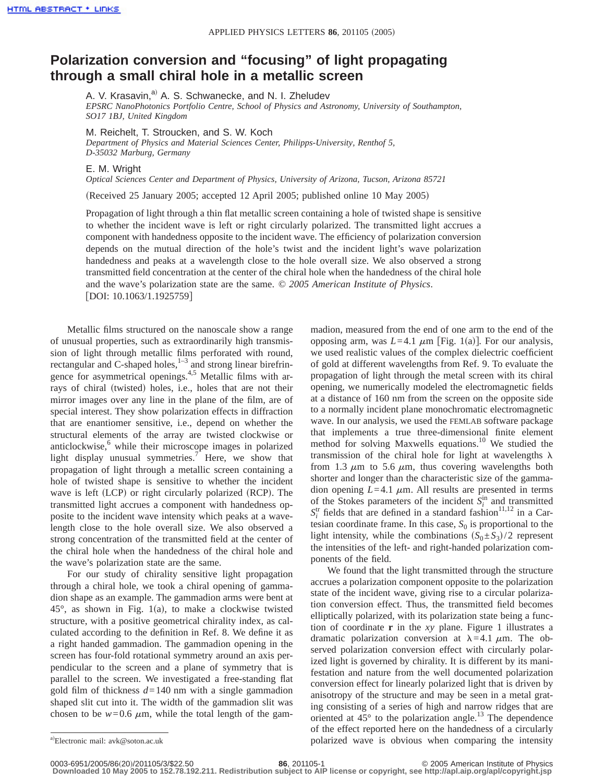## **Polarization conversion and "focusing" of light propagating through a small chiral hole in a metallic screen**

A. V. Krasavin,<sup>a)</sup> A. S. Schwanecke, and N. I. Zheludev *EPSRC NanoPhotonics Portfolio Centre, School of Physics and Astronomy, University of Southampton, SO17 1BJ, United Kingdom*

M. Reichelt, T. Stroucken, and S. W. Koch *Department of Physics and Material Sciences Center, Philipps-University, Renthof 5, D-35032 Marburg, Germany*

E. M. Wright

*Optical Sciences Center and Department of Physics, University of Arizona, Tucson, Arizona 85721*

(Received 25 January 2005; accepted 12 April 2005; published online 10 May 2005)

Propagation of light through a thin flat metallic screen containing a hole of twisted shape is sensitive to whether the incident wave is left or right circularly polarized. The transmitted light accrues a component with handedness opposite to the incident wave. The efficiency of polarization conversion depends on the mutual direction of the hole's twist and the incident light's wave polarization handedness and peaks at a wavelength close to the hole overall size. We also observed a strong transmitted field concentration at the center of the chiral hole when the handedness of the chiral hole and the wave's polarization state are the same. © *2005 American Institute of Physics*. [DOI: 10.1063/1.1925759]

Metallic films structured on the nanoscale show a range of unusual properties, such as extraordinarily high transmission of light through metallic films perforated with round, rectangular and C-shaped holes, $1-3$  and strong linear birefringence for asymmetrical openings.<sup>4,5</sup> Metallic films with arrays of chiral (twisted) holes, i.e., holes that are not their mirror images over any line in the plane of the film, are of special interest. They show polarization effects in diffraction that are enantiomer sensitive, i.e., depend on whether the structural elements of the array are twisted clockwise or anticlockwise, $6$  while their microscope images in polarized light display unusual symmetries.<sup>7</sup> Here, we show that propagation of light through a metallic screen containing a hole of twisted shape is sensitive to whether the incident wave is left  $(LCD)$  or right circularly polarized  $(RCP)$ . The transmitted light accrues a component with handedness opposite to the incident wave intensity which peaks at a wavelength close to the hole overall size. We also observed a strong concentration of the transmitted field at the center of the chiral hole when the handedness of the chiral hole and the wave's polarization state are the same.

For our study of chirality sensitive light propagation through a chiral hole, we took a chiral opening of gammadion shape as an example. The gammadion arms were bent at  $45^{\circ}$ , as shown in Fig. 1(a), to make a clockwise twisted structure, with a positive geometrical chirality index, as calculated according to the definition in Ref. 8. We define it as a right handed gammadion. The gammadion opening in the screen has four-fold rotational symmetry around an axis perpendicular to the screen and a plane of symmetry that is parallel to the screen. We investigated a free-standing flat gold film of thickness *d*=140 nm with a single gammadion shaped slit cut into it. The width of the gammadion slit was chosen to be  $w=0.6 \mu m$ , while the total length of the gammadion, measured from the end of one arm to the end of the opposing arm, was  $L=4.1 \mu m$  [Fig. 1(a)]. For our analysis, we used realistic values of the complex dielectric coefficient of gold at different wavelengths from Ref. 9. To evaluate the propagation of light through the metal screen with its chiral opening, we numerically modeled the electromagnetic fields at a distance of 160 nm from the screen on the opposite side to a normally incident plane monochromatic electromagnetic wave. In our analysis, we used the FEMLAB software package that implements a true three-dimensional finite element method for solving Maxwells equations.<sup>10</sup> We studied the transmission of the chiral hole for light at wavelengths  $\lambda$ from 1.3  $\mu$ m to 5.6  $\mu$ m, thus covering wavelengths both shorter and longer than the characteristic size of the gammadion opening  $L=4.1 \mu m$ . All results are presented in terms of the Stokes parameters of the incident  $S_i^{\text{in}}$  and transmitted  $S_i^{\text{tr}}$  fields that are defined in a standard fashion<sup>11,12</sup> in a Cartesian coordinate frame. In this case,  $S_0$  is proportional to the light intensity, while the combinations  $(S_0 \pm S_3)/2$  represent the intensities of the left- and right-handed polarization components of the field.

We found that the light transmitted through the structure accrues a polarization component opposite to the polarization state of the incident wave, giving rise to a circular polarization conversion effect. Thus, the transmitted field becomes elliptically polarized, with its polarization state being a function of coordinate **r** in the *xy* plane. Figure 1 illustrates a dramatic polarization conversion at  $\lambda$ =4.1  $\mu$ m. The observed polarization conversion effect with circularly polarized light is governed by chirality. It is different by its manifestation and nature from the well documented polarization conversion effect for linearly polarized light that is driven by anisotropy of the structure and may be seen in a metal grating consisting of a series of high and narrow ridges that are oriented at  $45^{\circ}$  to the polarization angle.<sup>13</sup> The dependence of the effect reported here on the handedness of a circularly polarized wave is obvious when comparing the intensity

<sup>&</sup>lt;sup>a)</sup>Electronic mail: avk@soton.ac.uk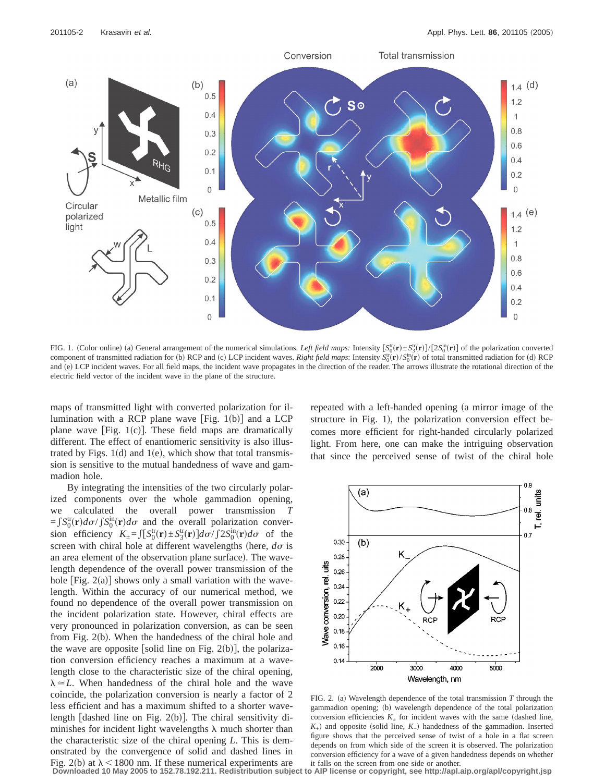

FIG. 1. (Color online) (a) General arrangement of the numerical simulations. *Left field maps:* Intensity  $[S_0^{\text{tr}}(\mathbf{r}) \pm S_3^{\text{tr}}(\mathbf{r})]/[2S_0^{\text{in}}(\mathbf{r})]$  of the polarization converted component of transmitted radiation for (b) RCP and (c) LCP incident waves. *Right field maps*: Intensity  $S_0^{\text{tr}}(\mathbf{r})/S_0^{\text{in}}(\mathbf{r})$  of total transmitted radiation for (d) RCP and (e) LCP incident waves. For all field maps, the incident wave propagates in the direction of the reader. The arrows illustrate the rotational direction of the electric field vector of the incident wave in the plane of the structure.

maps of transmitted light with converted polarization for illumination with a RCP plane wave [Fig.  $1(b)$ ] and a LCP plane wave  $[Fig. 1(c)]$ . These field maps are dramatically different. The effect of enantiomeric sensitivity is also illustrated by Figs.  $1(d)$  and  $1(e)$ , which show that total transmission is sensitive to the mutual handedness of wave and gammadion hole.

By integrating the intensities of the two circularly polarized components over the whole gammadion opening, we calculated the overall power transmission *T*  $=fS_0^{\text{tr}}(\mathbf{r})d\sigma / \int S_0^{\text{in}}(\mathbf{r})d\sigma$  and the overall polarization conversion efficiency  $K_{\pm} = \int [S_0^{\text{tr}}(\mathbf{r}) \pm S_3^{\text{tr}}(\mathbf{r})] d\sigma / \int 2S_0^{\text{in}}(\mathbf{r}) d\sigma$  of the screen with chiral hole at different wavelengths (here,  $d\sigma$  is an area element of the observation plane surface). The wavelength dependence of the overall power transmission of the hole  $[Fig. 2(a)]$  shows only a small variation with the wavelength. Within the accuracy of our numerical method, we found no dependence of the overall power transmission on the incident polarization state. However, chiral effects are very pronounced in polarization conversion, as can be seen from Fig.  $2(b)$ . When the handedness of the chiral hole and the wave are opposite [solid line on Fig. 2(b)], the polarization conversion efficiency reaches a maximum at a wavelength close to the characteristic size of the chiral opening,  $\lambda \approx L$ . When handedness of the chiral hole and the wave coincide, the polarization conversion is nearly a factor of 2 less efficient and has a maximum shifted to a shorter wavelength [dashed line on Fig.  $2(b)$ ]. The chiral sensitivity diminishes for incident light wavelengths  $\lambda$  much shorter than the characteristic size of the chiral opening *L*. This is demonstrated by the convergence of solid and dashed lines in Fig. 2(b) at  $\lambda$  < 1800 nm. If these numerical experiments are

repeated with a left-handed opening (a mirror image of the structure in Fig. 1), the polarization conversion effect becomes more efficient for right-handed circularly polarized light. From here, one can make the intriguing observation that since the perceived sense of twist of the chiral hole



FIG. 2. (a) Wavelength dependence of the total transmission  $T$  through the gammadion opening; (b) wavelength dependence of the total polarization conversion efficiencies  $K_{+}$  for incident waves with the same (dashed line,  $K_{+}$ ) and opposite (solid line,  $K_{-}$ ) handedness of the gammadion. Inserted figure shows that the perceived sense of twist of a hole in a flat screen depends on from which side of the screen it is observed. The polarization conversion efficiency for a wave of a given handedness depends on whether it falls on the screen from one side or another.

**Downloaded 10 May 2005 to 152.78.192.211. Redistribution subject to AIP license or copyright, see http://apl.aip.org/apl/copyright.jsp**